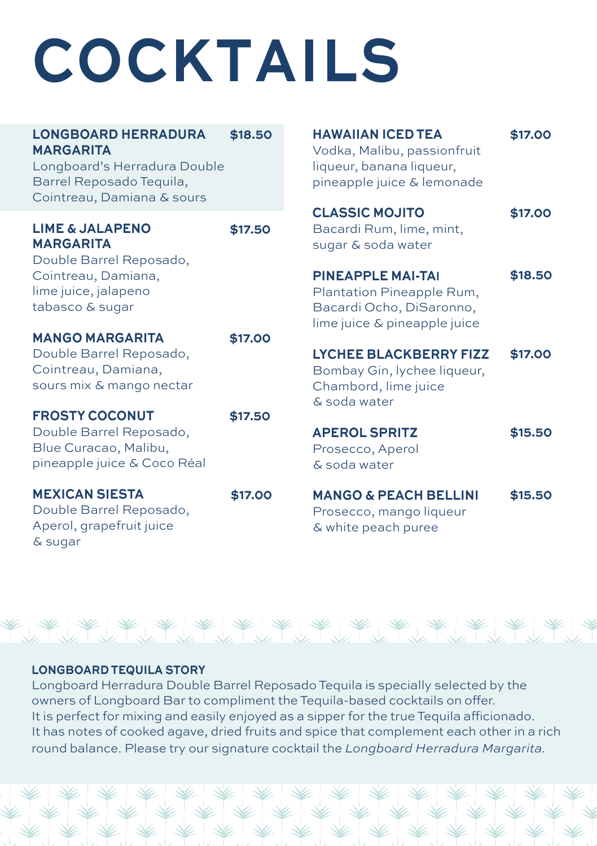# **COCKTAILS**

| <b>LONGBOARD HERRADURA</b><br><b>MARGARITA</b><br>Longboard's Herradura Double<br>Barrel Reposado Tequila,<br>Cointreau, Damiana & sours | \$18.50 | <b>HAWAIIAN ICED TEA</b><br>Vodka, Malibu, passionfruit<br>liqueur, banana liqueur,<br>pineapple juice & lemonade | \$17.00 |
|------------------------------------------------------------------------------------------------------------------------------------------|---------|-------------------------------------------------------------------------------------------------------------------|---------|
| <b>LIME &amp; JALAPENO</b><br><b>MARGARITA</b><br>Double Barrel Reposado,                                                                | \$17.50 | <b>CLASSIC MOJITO</b><br>Bacardi Rum, lime, mint,<br>sugar & soda water                                           | \$17.00 |
| Cointreau, Damiana,<br>lime juice, jalapeno<br>tabasco & sugar                                                                           |         | <b>PINEAPPLE MAI-TAI</b><br>Plantation Pineapple Rum,<br>Bacardi Ocho, DiSaronno,<br>lime juice & pineapple juice | \$18.50 |
| <b>MANGO MARGARITA</b>                                                                                                                   | \$17.00 |                                                                                                                   |         |
| Double Barrel Reposado,<br>Cointreau, Damiana,<br>sours mix & mango nectar                                                               |         | <b>LYCHEE BLACKBERRY FIZZ</b><br>Bombay Gin, lychee liqueur,<br>Chambord, lime juice<br>& soda water              | \$17.00 |
| <b>FROSTY COCONUT</b>                                                                                                                    | \$17.50 |                                                                                                                   |         |
| Double Barrel Reposado,<br>Blue Curacao, Malibu,<br>pineapple juice & Coco Réal                                                          |         | <b>APEROL SPRITZ</b><br>Prosecco, Aperol<br>& soda water                                                          | \$15.50 |
| <b>MEXICAN SIESTA</b><br>Double Barrel Reposado,<br>Aperol, grapefruit juice<br>& sugar                                                  | \$17.00 | <b>MANGO &amp; PEACH BELLINI</b><br>Prosecco, mango liqueur<br>& white peach puree                                | \$15.50 |



### **LONGBOARD TEQUILA STORY**

Longboard Herradura Double Barrel Reposado Tequila is specially selected by the owners of Longboard Bar to compliment the Tequila-based cocktails on offer. It is perfect for mixing and easily enjoyed as a sipper for the true Tequila afficionado. It has notes of cooked agave, dried fruits and spice that complement each other in a rich round balance. Please try our signature cocktail the *Longboard Herradura Margarita.*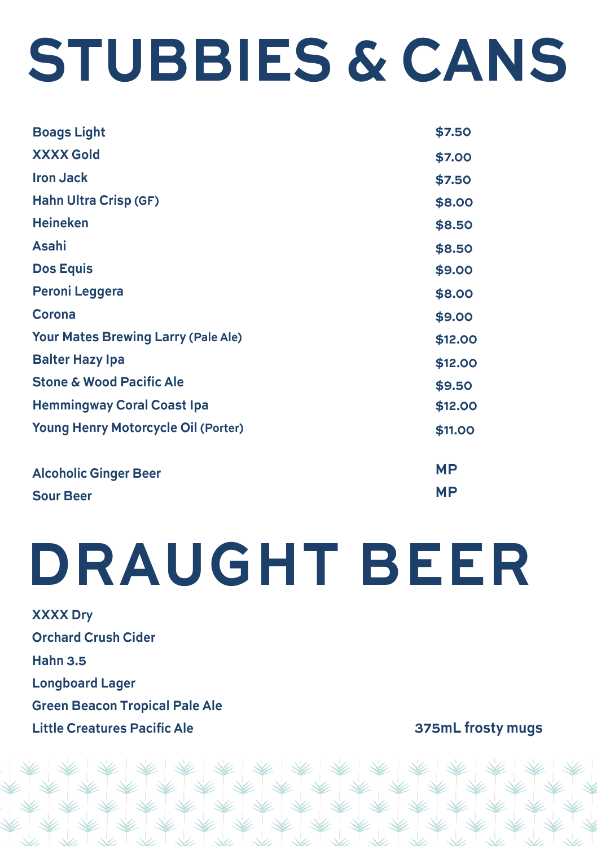## **STUBBIES & CANS**

| <b>Boags Light</b>                         | \$7.50    |
|--------------------------------------------|-----------|
| <b>XXXX Gold</b>                           | \$7.00    |
| <b>Iron Jack</b>                           | \$7.50    |
| <b>Hahn Ultra Crisp (GF)</b>               | \$8.00    |
| <b>Heineken</b>                            | \$8.50    |
| Asahi                                      | \$8.50    |
| <b>Dos Equis</b>                           | \$9.00    |
| <b>Peroni Leggera</b>                      | \$8.00    |
| Corona                                     | \$9.00    |
| <b>Your Mates Brewing Larry (Pale Ale)</b> | \$12.00   |
| <b>Balter Hazy Ipa</b>                     | \$12.00   |
| <b>Stone &amp; Wood Pacific Ale</b>        | \$9.50    |
| <b>Hemmingway Coral Coast Ipa</b>          | \$12.00   |
| <b>Young Henry Motorcycle Oil (Porter)</b> | \$11.00   |
| <b>Alcoholic Ginger Beer</b>               | <b>MP</b> |
| <b>Sour Beer</b>                           | МP        |
|                                            |           |

### **DRAUGHT BEER**

**XXXX Drv Orchard Crush Cider Hahn 3.5 Longboard Lager Green Beacon Tropical Pale Ale Little Creatures Pacific Ale** 

375mL frosty mugs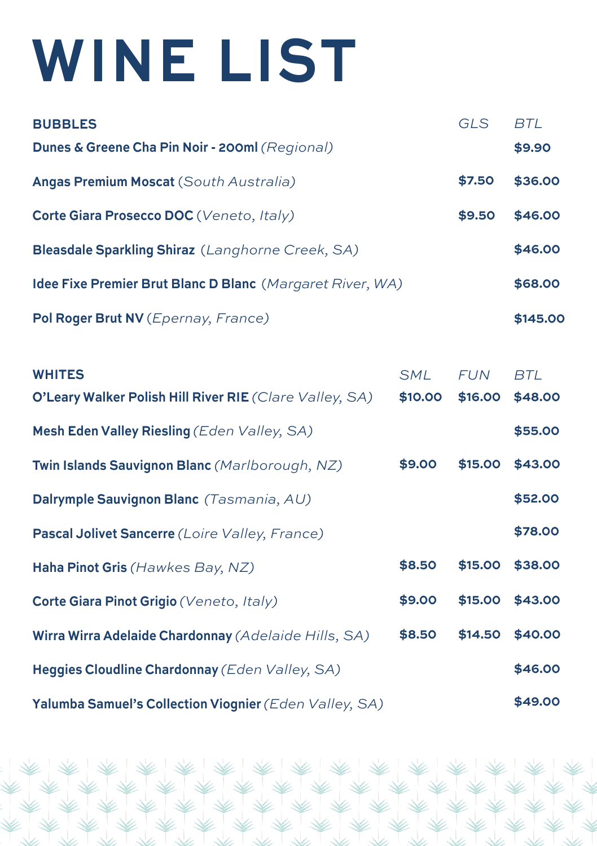## **WINE LIST**

| <b>BUBBLES</b>                                            | GLS    | BTI      |
|-----------------------------------------------------------|--------|----------|
| <b>Dunes &amp; Greene Cha Pin Noir - 200ml (Regional)</b> |        | \$9.90   |
| Angas Premium Moscat (South Australia)                    | \$7.50 | \$36.00  |
| Corte Giara Prosecco DOC (Veneto, Italy)                  | \$9.50 | \$46.00  |
| Bleasdale Sparkling Shiraz (Langhorne Creek, SA)          |        | \$46.00  |
| Idee Fixe Premier Brut Blanc D Blanc (Margaret River, WA) |        | \$68.00  |
| Pol Roger Brut NV (Epernay, France)                       |        | \$145.00 |

| <b>WHITES</b>                                           | <b>SML</b> | <b>FUN</b> | <b>BTL</b> |
|---------------------------------------------------------|------------|------------|------------|
| O'Leary Walker Polish Hill River RIE (Clare Valley, SA) | \$10.00    | \$16.00    | \$48.00    |
| Mesh Eden Valley Riesling (Eden Valley, SA)             |            |            | \$55.00    |
| Twin Islands Sauvignon Blanc (Marlborough, NZ)          | \$9.00     | \$15.00    | \$43.00    |
| Dalrymple Sauvignon Blanc (Tasmania, AU)                |            |            | \$52.00    |
| Pascal Jolivet Sancerre (Loire Valley, France)          |            |            | \$78.00    |
| Haha Pinot Gris (Hawkes Bay, NZ)                        | \$8.50     | \$15.00    | \$38.00    |
| Corte Giara Pinot Grigio (Veneto, Italy)                | \$9.00     | \$15.00    | \$43.00    |
| Wirra Wirra Adelaide Chardonnay (Adelaide Hills, SA)    | \$8.50     | \$14.50    | \$40.00    |
| Heggies Cloudline Chardonnay (Eden Valley, SA)          |            |            | \$46.00    |
| Yalumba Samuel's Collection Viognier (Eden Valley, SA)  |            |            | \$49.00    |